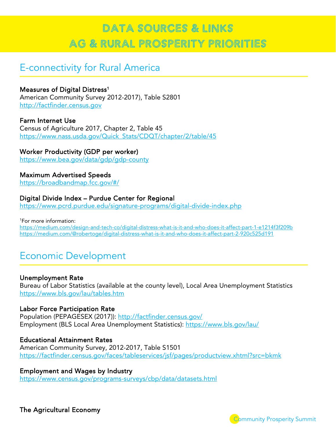# DATA SOURCES & LINKS AG & RURAL PROSPERITY PRIORITIES

# E-connectivity for Rural America

# Measures of Digital Distress<sup>1</sup>

American Community Survey 2012-2017), Table S2801 [http://factfinder.census.gov](http://factfinder.census.gov/)

#### Farm Internet Use

Census of Agriculture 2017, Chapter 2, Table 45 [https://www.nass.usda.gov/Quick\\_Stats/CDQT/chapter/2/table/45](https://www.nass.usda.gov/Quick_Stats/CDQT/chapter/2/table/45)

# Worker Productivity (GDP per worker)

<https://www.bea.gov/data/gdp/gdp-county>

# Maximum Advertised Speeds

<https://broadbandmap.fcc.gov/#/>

# Digital Divide Index – Purdue Center for Regional

<https://www.pcrd.purdue.edu/signature-programs/digital-divide-index.php>

#### 1 For more information:

<https://medium.com/design-and-tech-co/digital-distress-what-is-it-and-who-does-it-affect-part-1-e1214f3f209b> <https://medium.com/@robertoge/digital-distress-what-is-it-and-who-does-it-affect-part-2-920c525d191>

# Economic Development

# Unemployment Rate

Bureau of Labor Statistics (available at the county level), Local Area Unemployment Statistics <https://www.bls.gov/lau/tables.htm>

# Labor Force Participation Rate

Population (PEPAGESEX (2017)):<http://factfinder.census.gov/> Employment (BLS Local Area Unemployment Statistics):<https://www.bls.gov/lau/>

# Educational Attainment Rates

American Community Survey, 2012-2017, Table S1501 <https://factfinder.census.gov/faces/tableservices/jsf/pages/productview.xhtml?src=bkmk>

#### Employment and Wages by Industry

<https://www.census.gov/programs-surveys/cbp/data/datasets.html>

The Agricultural Economy

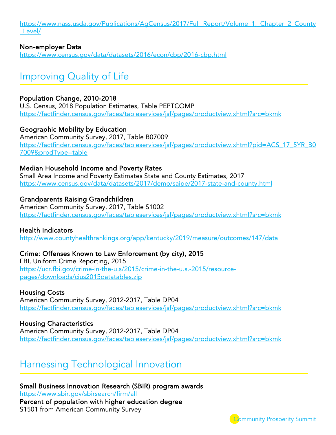https://www.nass.usda.gov/Publications/AgCensus/2017/Full\_Report/Volume\_1, Chapter\_2\_County [\\_Level/](https://www.nass.usda.gov/Publications/AgCensus/2017/Full_Report/Volume_1,_Chapter_2_County_Level/)

# Non-employer Data

<https://www.census.gov/data/datasets/2016/econ/cbp/2016-cbp.html>

# Improving Quality of Life

# Population Change, 2010-2018

U.S. Census, 2018 Population Estimates, Table PEPTCOMP <https://factfinder.census.gov/faces/tableservices/jsf/pages/productview.xhtml?src=bkmk>

# Geographic Mobility by Education

American Community Survey, 2017, Table B07009 [https://factfinder.census.gov/faces/tableservices/jsf/pages/productview.xhtml?pid=ACS\\_17\\_5YR\\_B0](https://factfinder.census.gov/faces/tableservices/jsf/pages/productview.xhtml?pid=ACS_17_5YR_B07009&prodType=table) [7009&prodType=table](https://factfinder.census.gov/faces/tableservices/jsf/pages/productview.xhtml?pid=ACS_17_5YR_B07009&prodType=table)

# Median Household Income and Poverty Rates

Small Area Income and Poverty Estimates State and County Estimates, 2017 <https://www.census.gov/data/datasets/2017/demo/saipe/2017-state-and-county.html>

# Grandparents Raising Grandchildren

American Community Survey, 2017, Table S1002 <https://factfinder.census.gov/faces/tableservices/jsf/pages/productview.xhtml?src=bkmk>

# Health Indicators

<http://www.countyhealthrankings.org/app/kentucky/2019/measure/outcomes/147/data>

# Crime: Offenses Known to Law Enforcement (by city), 2015

FBI, Uniform Crime Reporting, 2015 [https://ucr.fbi.gov/crime-in-the-u.s/2015/crime-in-the-u.s.-2015/resource](https://ucr.fbi.gov/crime-in-the-u.s/2015/crime-in-the-u.s.-2015/resource-pages/downloads/cius2015datatables.zip)[pages/downloads/cius2015datatables.zip](https://ucr.fbi.gov/crime-in-the-u.s/2015/crime-in-the-u.s.-2015/resource-pages/downloads/cius2015datatables.zip) 

# Housing Costs

American Community Survey, 2012-2017, Table DP04 <https://factfinder.census.gov/faces/tableservices/jsf/pages/productview.xhtml?src=bkmk>

# Housing Characteristics

American Community Survey, 2012-2017, Table DP04 <https://factfinder.census.gov/faces/tableservices/jsf/pages/productview.xhtml?src=bkmk>

# Harnessing Technological Innovation

Small Business Innovation Research (SBIR) program awards <https://www.sbir.gov/sbirsearch/firm/all> Percent of population with higher education degree S1501 from American Community Survey